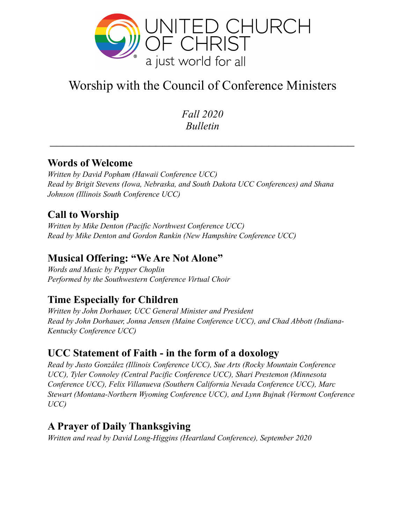

# Worship with the Council of Conference Ministers

*Fall 2020 Bulletin* 

#### **Words of Welcome**

*Written by David Popham (Hawaii Conference UCC) Read by Brigit Stevens (Iowa, Nebraska, and South Dakota UCC Conferences) and Shana Johnson (Illinois South Conference UCC)* 

## **Call to Worship**

*Written by Mike Denton (Pacific Northwest Conference UCC) Read by Mike Denton and Gordon Rankin (New Hampshire Conference UCC)* 

#### **Musical Offering: "We Are Not Alone"**

*Words and Music by Pepper Choplin Performed by the Southwestern Conference Virtual Choir* 

#### **Time Especially for Children**

*Written by John Dorhauer, UCC General Minister and President Read by John Dorhauer, Jonna Jensen (Maine Conference UCC), and Chad Abbott (Indiana-Kentucky Conference UCC)* 

#### **UCC Statement of Faith - in the form of a doxology**

*Read by Justo González (Illinois Conference UCC), Sue Arts (Rocky Mountain Conference UCC), Tyler Connoley (Central Pacific Conference UCC), Shari Prestemon (Minnesota Conference UCC), Felix Villanueva (Southern California Nevada Conference UCC), Marc Stewart (Montana-Northern Wyoming Conference UCC), and Lynn Bujnak (Vermont Conference UCC)* 

#### **A Prayer of Daily Thanksgiving**

*Written and read by David Long-Higgins (Heartland Conference), September 2020*